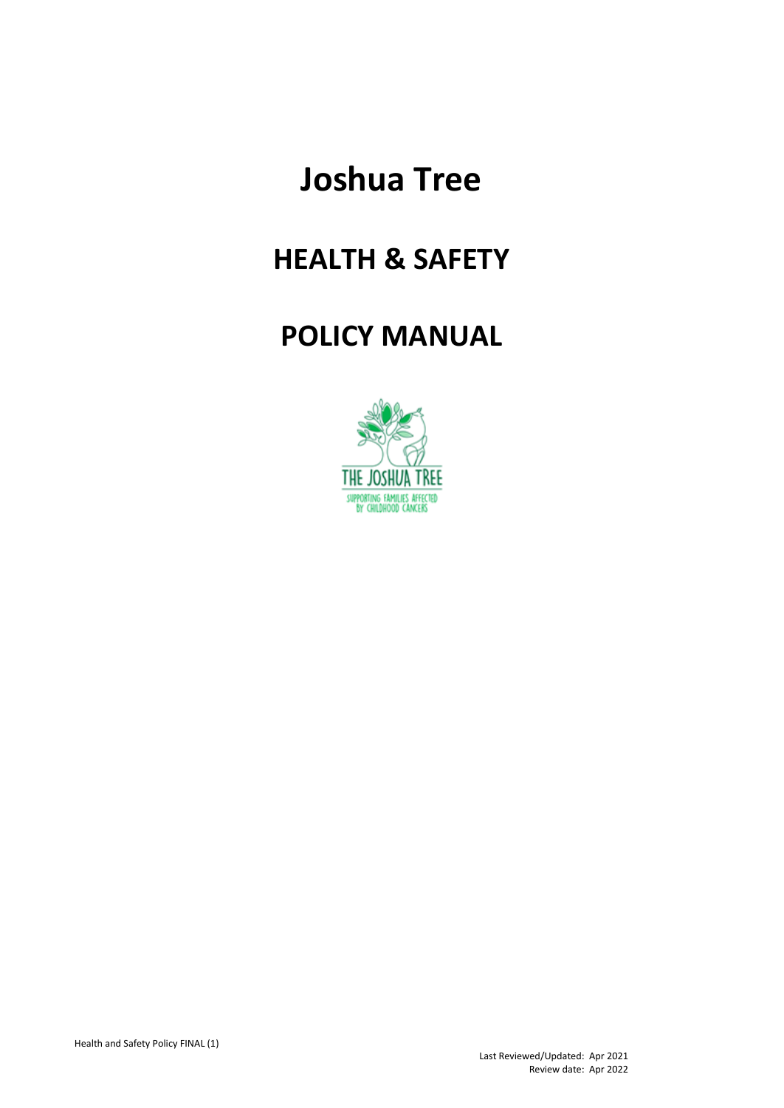# **Joshua Tree**

## **HEALTH & SAFETY**

### **POLICY MANUAL**

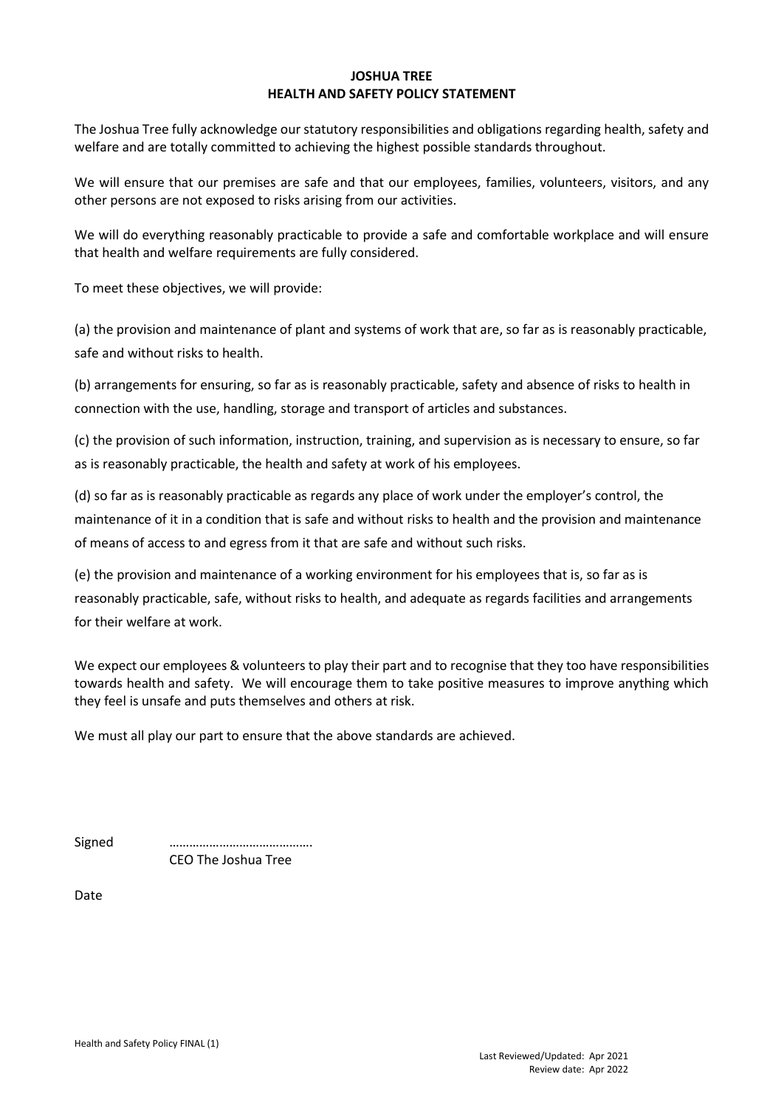#### **JOSHUA TREE HEALTH AND SAFETY POLICY STATEMENT**

The Joshua Tree fully acknowledge our statutory responsibilities and obligations regarding health, safety and welfare and are totally committed to achieving the highest possible standards throughout.

We will ensure that our premises are safe and that our employees, families, volunteers, visitors, and any other persons are not exposed to risks arising from our activities.

We will do everything reasonably practicable to provide a safe and comfortable workplace and will ensure that health and welfare requirements are fully considered.

To meet these objectives, we will provide:

(a) the provision and maintenance of plant and systems of work that are, so far as is reasonably practicable, safe and without risks to health.

(b) arrangements for ensuring, so far as is reasonably practicable, safety and absence of risks to health in connection with the use, handling, storage and transport of articles and substances.

(c) the provision of such information, instruction, training, and supervision as is necessary to ensure, so far as is reasonably practicable, the health and safety at work of his employees.

(d) so far as is reasonably practicable as regards any place of work under the employer's control, the maintenance of it in a condition that is safe and without risks to health and the provision and maintenance of means of access to and egress from it that are safe and without such risks.

(e) the provision and maintenance of a working environment for his employees that is, so far as is reasonably practicable, safe, without risks to health, and adequate as regards facilities and arrangements for their welfare at work.

We expect our employees & volunteers to play their part and to recognise that they too have responsibilities towards health and safety. We will encourage them to take positive measures to improve anything which they feel is unsafe and puts themselves and others at risk.

We must all play our part to ensure that the above standards are achieved.

Signed ……………………………………. CEO The Joshua Tree

Date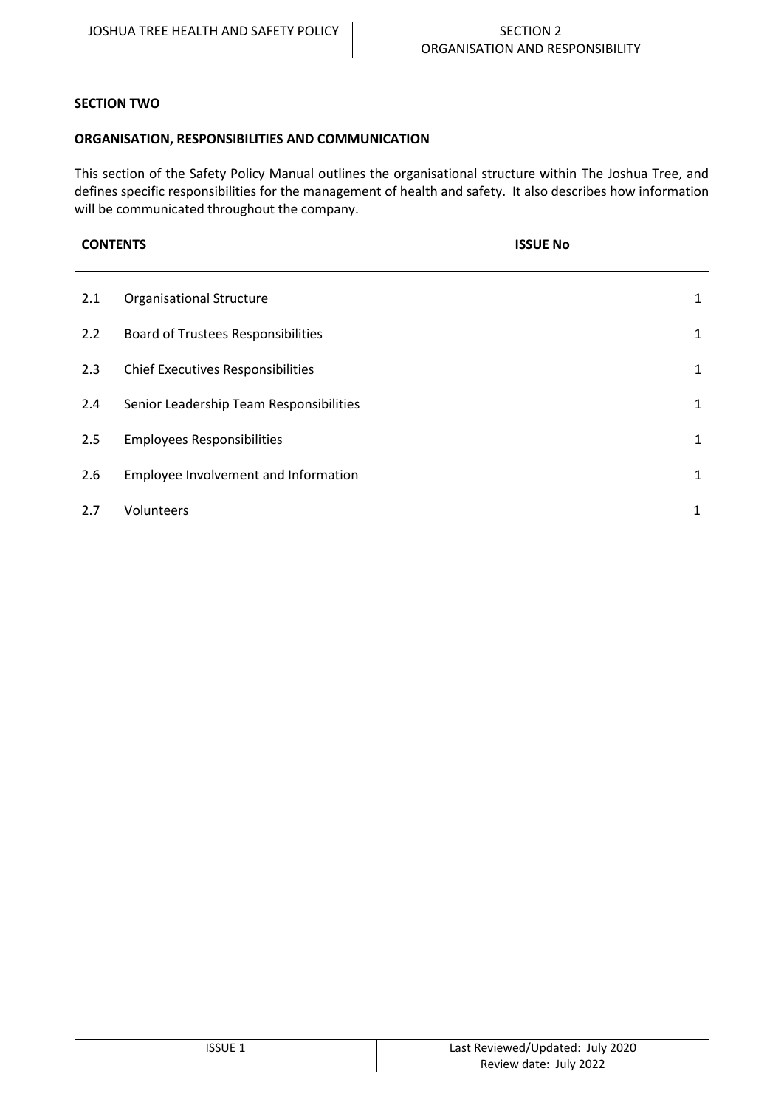#### **SECTION TWO**

#### **ORGANISATION, RESPONSIBILITIES AND COMMUNICATION**

This section of the Safety Policy Manual outlines the organisational structure within The Joshua Tree, and defines specific responsibilities for the management of health and safety. It also describes how information will be communicated throughout the company.

**CONTENTS ISSUE No**

| 2.1 | <b>Organisational Structure</b>           |   |
|-----|-------------------------------------------|---|
| 2.2 | <b>Board of Trustees Responsibilities</b> |   |
| 2.3 | <b>Chief Executives Responsibilities</b>  | 1 |
| 2.4 | Senior Leadership Team Responsibilities   |   |
| 2.5 | <b>Employees Responsibilities</b>         |   |
| 2.6 | Employee Involvement and Information      | 1 |
| 2.7 | Volunteers                                |   |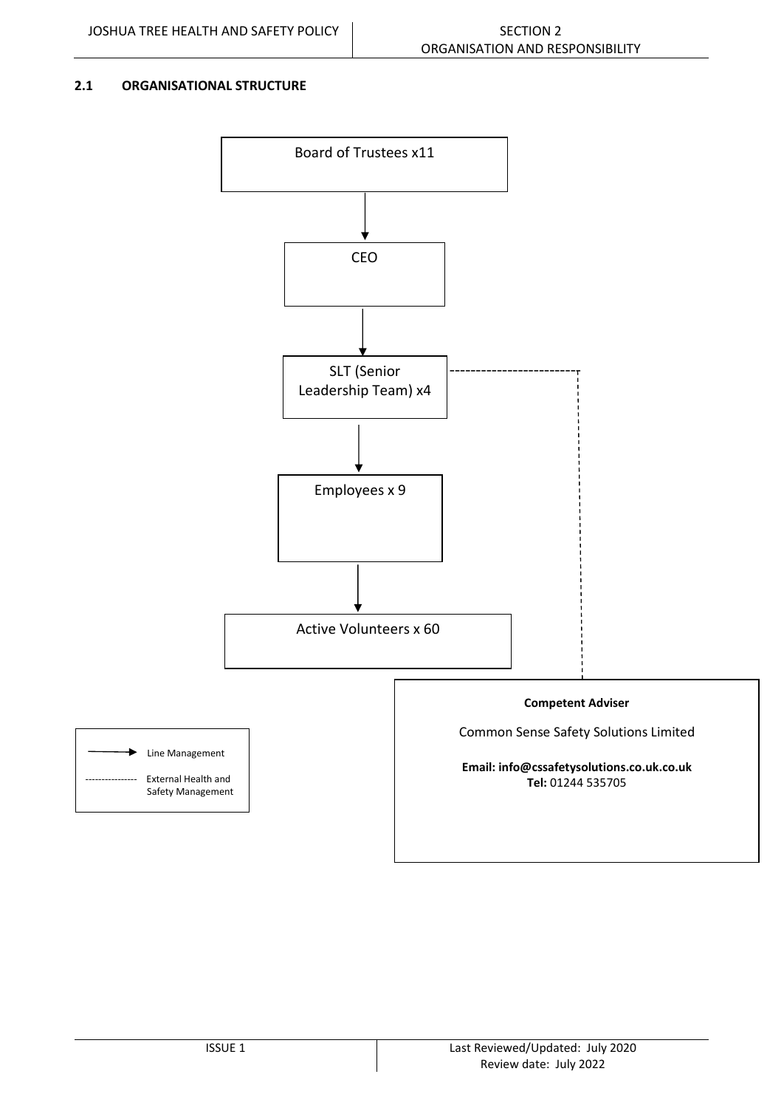#### **2.1 ORGANISATIONAL STRUCTURE**

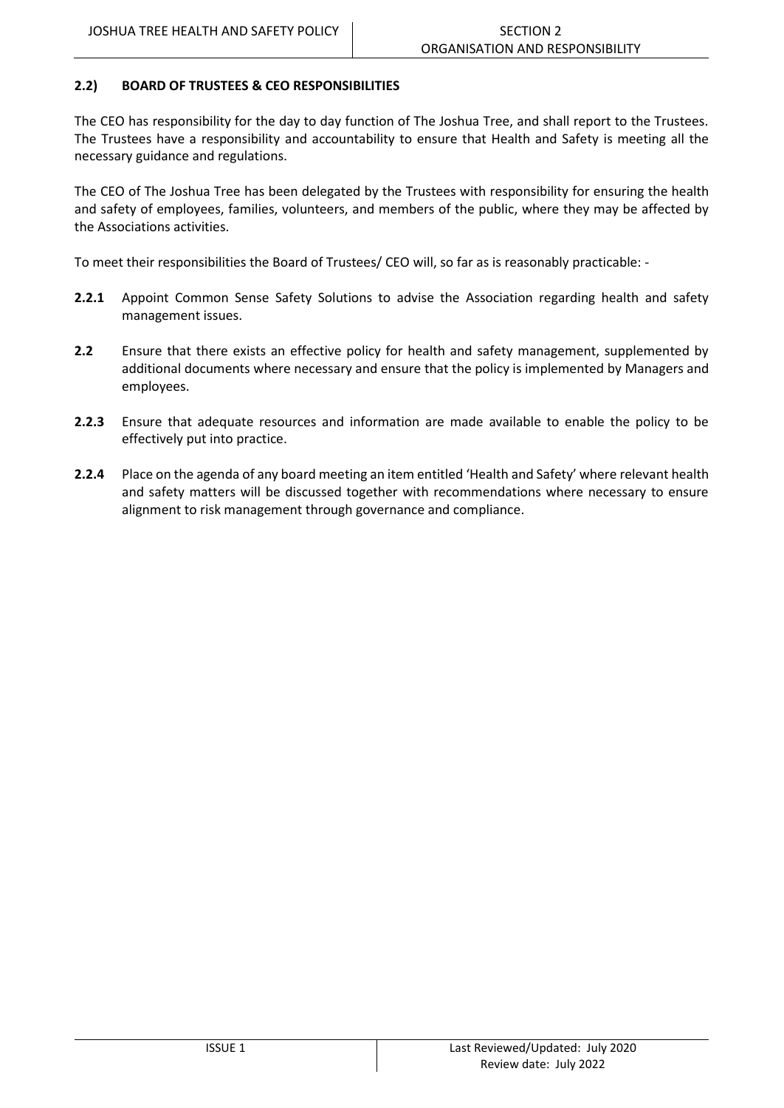#### **2.2) BOARD OF TRUSTEES & CEO RESPONSIBILITIES**

The CEO has responsibility for the day to day function of The Joshua Tree, and shall report to the Trustees. The Trustees have a responsibility and accountability to ensure that Health and Safety is meeting all the necessary guidance and regulations.

The CEO of The Joshua Tree has been delegated by the Trustees with responsibility for ensuring the health and safety of employees, families, volunteers, and members of the public, where they may be affected by the Associations activities.

To meet their responsibilities the Board of Trustees/ CEO will, so far as is reasonably practicable: -

- **2.2.1** Appoint Common Sense Safety Solutions to advise the Association regarding health and safety management issues.
- **2.2** Ensure that there exists an effective policy for health and safety management, supplemented by additional documents where necessary and ensure that the policy is implemented by Managers and employees.
- **2.2.3** Ensure that adequate resources and information are made available to enable the policy to be effectively put into practice.
- **2.2.4** Place on the agenda of any board meeting an item entitled 'Health and Safety' where relevant health and safety matters will be discussed together with recommendations where necessary to ensure alignment to risk management through governance and compliance.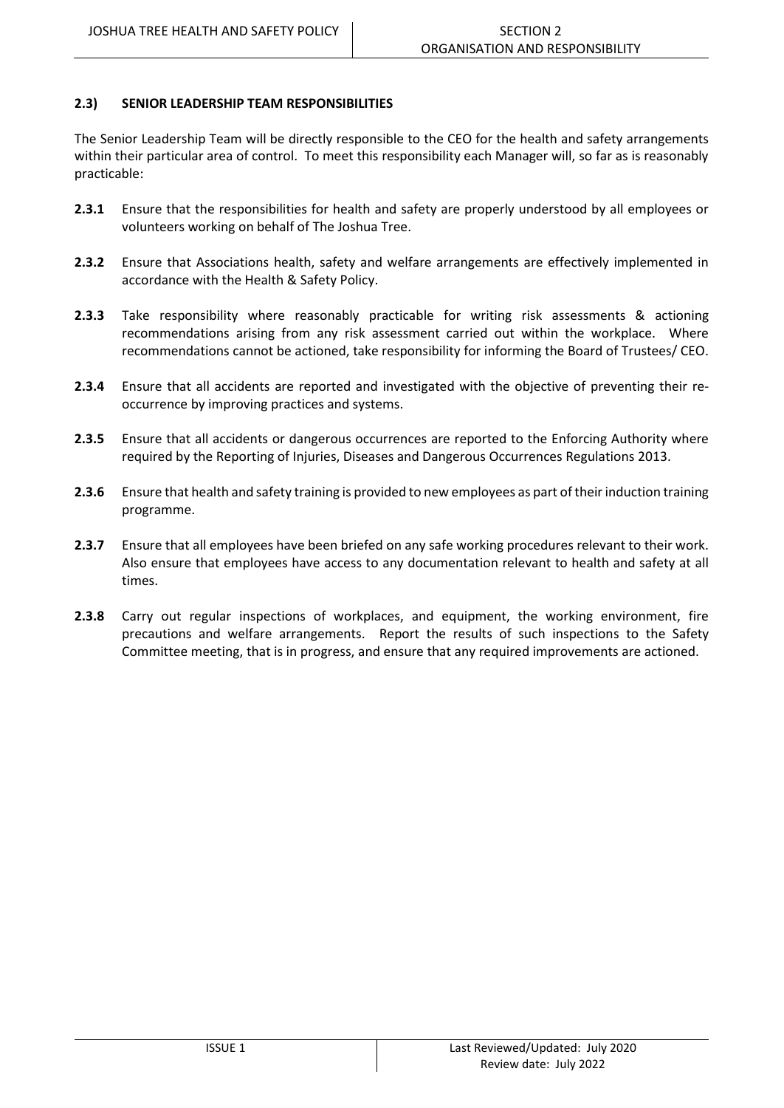#### **2.3) SENIOR LEADERSHIP TEAM RESPONSIBILITIES**

The Senior Leadership Team will be directly responsible to the CEO for the health and safety arrangements within their particular area of control. To meet this responsibility each Manager will, so far as is reasonably practicable:

- **2.3.1** Ensure that the responsibilities for health and safety are properly understood by all employees or volunteers working on behalf of The Joshua Tree.
- **2.3.2** Ensure that Associations health, safety and welfare arrangements are effectively implemented in accordance with the Health & Safety Policy.
- **2.3.3** Take responsibility where reasonably practicable for writing risk assessments & actioning recommendations arising from any risk assessment carried out within the workplace. Where recommendations cannot be actioned, take responsibility for informing the Board of Trustees/ CEO.
- **2.3.4** Ensure that all accidents are reported and investigated with the objective of preventing their reoccurrence by improving practices and systems.
- **2.3.5** Ensure that all accidents or dangerous occurrences are reported to the Enforcing Authority where required by the Reporting of Injuries, Diseases and Dangerous Occurrences Regulations 2013.
- **2.3.6** Ensure that health and safety training is provided to new employees as part of their induction training programme.
- **2.3.7** Ensure that all employees have been briefed on any safe working procedures relevant to their work. Also ensure that employees have access to any documentation relevant to health and safety at all times.
- **2.3.8** Carry out regular inspections of workplaces, and equipment, the working environment, fire precautions and welfare arrangements. Report the results of such inspections to the Safety Committee meeting, that is in progress, and ensure that any required improvements are actioned.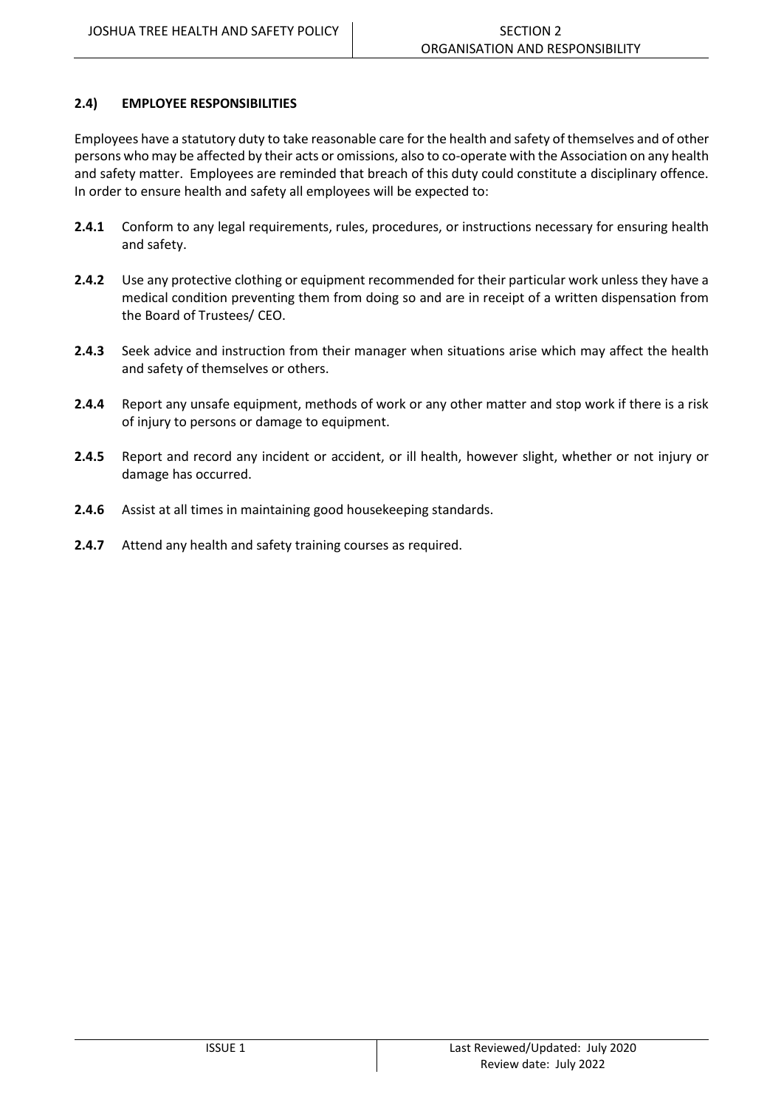#### **2.4) EMPLOYEE RESPONSIBILITIES**

Employees have a statutory duty to take reasonable care for the health and safety of themselves and of other persons who may be affected by their acts or omissions, also to co-operate with the Association on any health and safety matter. Employees are reminded that breach of this duty could constitute a disciplinary offence. In order to ensure health and safety all employees will be expected to:

- **2.4.1** Conform to any legal requirements, rules, procedures, or instructions necessary for ensuring health and safety.
- **2.4.2** Use any protective clothing or equipment recommended for their particular work unless they have a medical condition preventing them from doing so and are in receipt of a written dispensation from the Board of Trustees/ CEO.
- **2.4.3** Seek advice and instruction from their manager when situations arise which may affect the health and safety of themselves or others.
- **2.4.4** Report any unsafe equipment, methods of work or any other matter and stop work if there is a risk of injury to persons or damage to equipment.
- **2.4.5** Report and record any incident or accident, or ill health, however slight, whether or not injury or damage has occurred.
- **2.4.6** Assist at all times in maintaining good housekeeping standards.
- **2.4.7** Attend any health and safety training courses as required.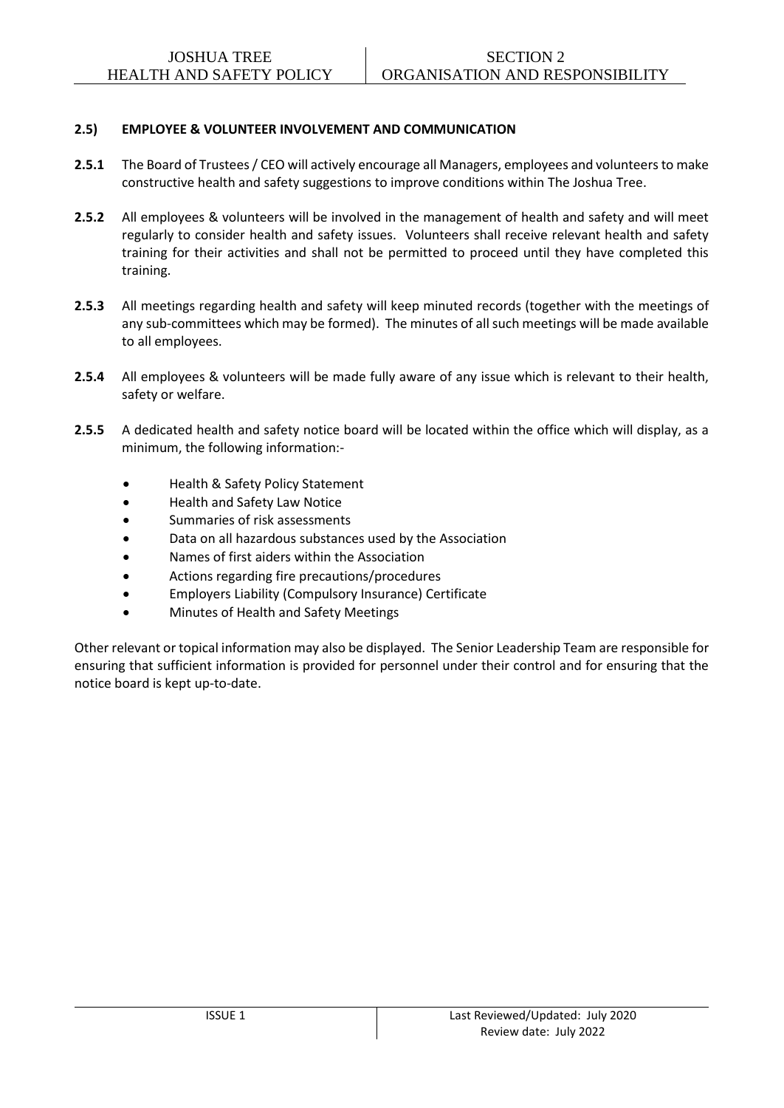#### **2.5) EMPLOYEE & VOLUNTEER INVOLVEMENT AND COMMUNICATION**

- **2.5.1** The Board of Trustees/ CEO will actively encourage all Managers, employees and volunteersto make constructive health and safety suggestions to improve conditions within The Joshua Tree.
- **2.5.2** All employees & volunteers will be involved in the management of health and safety and will meet regularly to consider health and safety issues. Volunteers shall receive relevant health and safety training for their activities and shall not be permitted to proceed until they have completed this training.
- **2.5.3** All meetings regarding health and safety will keep minuted records (together with the meetings of any sub-committees which may be formed). The minutes of all such meetings will be made available to all employees.
- **2.5.4** All employees & volunteers will be made fully aware of any issue which is relevant to their health, safety or welfare.
- **2.5.5** A dedicated health and safety notice board will be located within the office which will display, as a minimum, the following information:-
	- Health & Safety Policy Statement
	- Health and Safety Law Notice
	- Summaries of risk assessments
	- Data on all hazardous substances used by the Association
	- Names of first aiders within the Association
	- Actions regarding fire precautions/procedures
	- Employers Liability (Compulsory Insurance) Certificate
	- Minutes of Health and Safety Meetings

Other relevant or topical information may also be displayed. The Senior Leadership Team are responsible for ensuring that sufficient information is provided for personnel under their control and for ensuring that the notice board is kept up-to-date.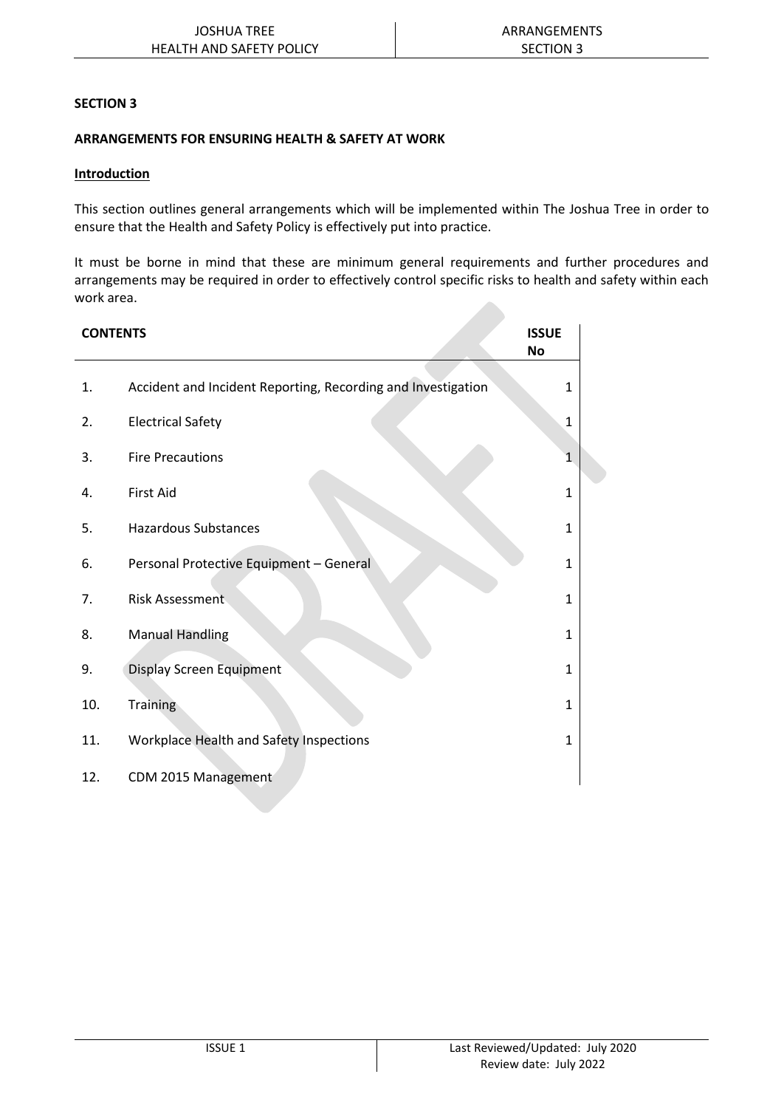#### **SECTION 3**

### **ARRANGEMENTS FOR ENSURING HEALTH & SAFETY AT WORK**

#### **Introduction**

This section outlines general arrangements which will be implemented within The Joshua Tree in order to ensure that the Health and Safety Policy is effectively put into practice.

It must be borne in mind that these are minimum general requirements and further procedures and arrangements may be required in order to effectively control specific risks to health and safety within each work area.

| <b>CONTENTS</b> | <b>ISSUE</b><br>No                                           |              |
|-----------------|--------------------------------------------------------------|--------------|
| 1.              | Accident and Incident Reporting, Recording and Investigation | 1            |
| 2.              | <b>Electrical Safety</b>                                     | 1            |
| 3.              | <b>Fire Precautions</b>                                      | 1            |
| 4.              | <b>First Aid</b>                                             | $\mathbf{1}$ |
| 5.              | <b>Hazardous Substances</b>                                  | 1            |
| 6.              | Personal Protective Equipment - General                      | 1            |
| 7.              | <b>Risk Assessment</b>                                       | 1            |
| 8.              | <b>Manual Handling</b>                                       | 1            |
| 9.              | Display Screen Equipment                                     | 1            |
| 10.             | <b>Training</b>                                              | 1            |
| 11.             | Workplace Health and Safety Inspections                      | 1            |
| 12.             | CDM 2015 Management                                          |              |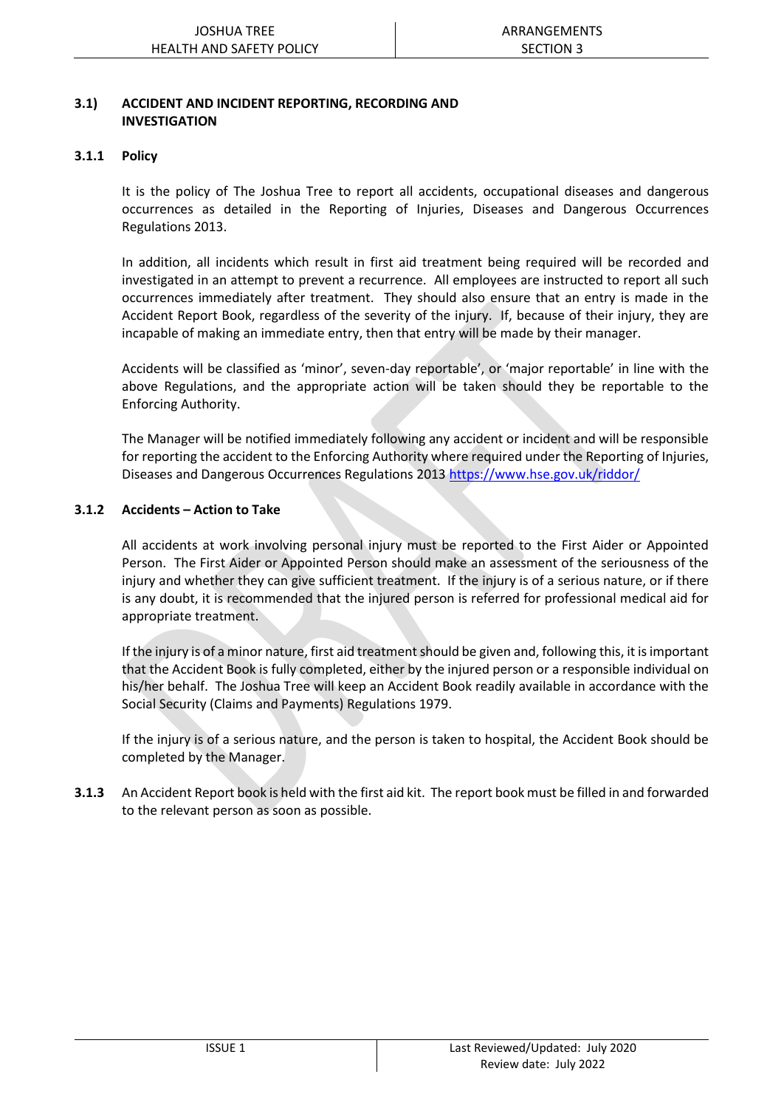#### **3.1) ACCIDENT AND INCIDENT REPORTING, RECORDING AND INVESTIGATION**

#### **3.1.1 Policy**

It is the policy of The Joshua Tree to report all accidents, occupational diseases and dangerous occurrences as detailed in the Reporting of Injuries, Diseases and Dangerous Occurrences Regulations 2013.

In addition, all incidents which result in first aid treatment being required will be recorded and investigated in an attempt to prevent a recurrence. All employees are instructed to report all such occurrences immediately after treatment. They should also ensure that an entry is made in the Accident Report Book, regardless of the severity of the injury. If, because of their injury, they are incapable of making an immediate entry, then that entry will be made by their manager.

Accidents will be classified as 'minor', seven-day reportable', or 'major reportable' in line with the above Regulations, and the appropriate action will be taken should they be reportable to the Enforcing Authority.

The Manager will be notified immediately following any accident or incident and will be responsible for reporting the accident to the Enforcing Authority where required under the Reporting of Injuries, Diseases and Dangerous Occurrences Regulations 2013 <https://www.hse.gov.uk/riddor/>

#### **3.1.2 Accidents – Action to Take**

All accidents at work involving personal injury must be reported to the First Aider or Appointed Person. The First Aider or Appointed Person should make an assessment of the seriousness of the injury and whether they can give sufficient treatment. If the injury is of a serious nature, or if there is any doubt, it is recommended that the injured person is referred for professional medical aid for appropriate treatment.

If the injury is of a minor nature, first aid treatment should be given and, following this, it is important that the Accident Book is fully completed, either by the injured person or a responsible individual on his/her behalf. The Joshua Tree will keep an Accident Book readily available in accordance with the Social Security (Claims and Payments) Regulations 1979.

If the injury is of a serious nature, and the person is taken to hospital, the Accident Book should be completed by the Manager.

**3.1.3** An Accident Report book is held with the first aid kit. The report book must be filled in and forwarded to the relevant person as soon as possible.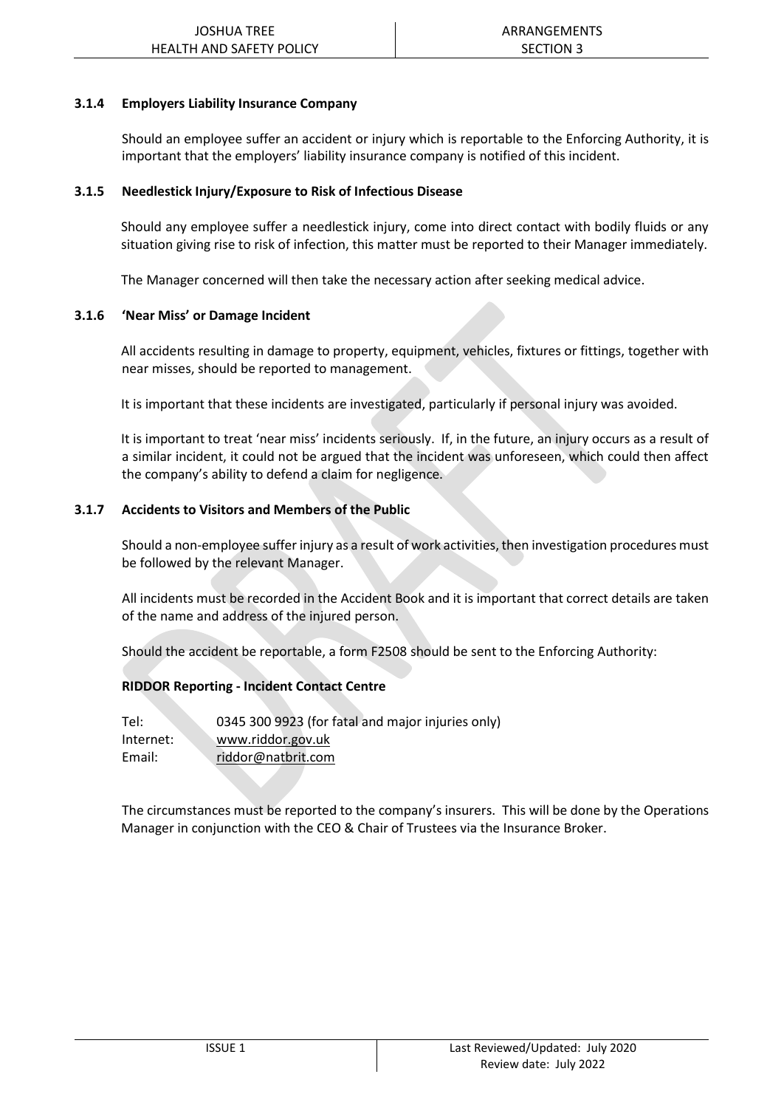#### **3.1.4 Employers Liability Insurance Company**

Should an employee suffer an accident or injury which is reportable to the Enforcing Authority, it is important that the employers' liability insurance company is notified of this incident.

#### **3.1.5 Needlestick Injury/Exposure to Risk of Infectious Disease**

Should any employee suffer a needlestick injury, come into direct contact with bodily fluids or any situation giving rise to risk of infection, this matter must be reported to their Manager immediately.

The Manager concerned will then take the necessary action after seeking medical advice.

#### **3.1.6 'Near Miss' or Damage Incident**

All accidents resulting in damage to property, equipment, vehicles, fixtures or fittings, together with near misses, should be reported to management.

It is important that these incidents are investigated, particularly if personal injury was avoided.

It is important to treat 'near miss' incidents seriously. If, in the future, an injury occurs as a result of a similar incident, it could not be argued that the incident was unforeseen, which could then affect the company's ability to defend a claim for negligence.

#### **3.1.7 Accidents to Visitors and Members of the Public**

Should a non-employee suffer injury as a result of work activities, then investigation procedures must be followed by the relevant Manager.

All incidents must be recorded in the Accident Book and it is important that correct details are taken of the name and address of the injured person.

Should the accident be reportable, a form F2508 should be sent to the Enforcing Authority:

#### **RIDDOR Reporting - Incident Contact Centre**

| Tel:      | 0345 300 9923 (for fatal and major injuries only) |
|-----------|---------------------------------------------------|
| Internet: | www.riddor.gov.uk                                 |
| Email:    | riddor@natbrit.com                                |

The circumstances must be reported to the company's insurers. This will be done by the Operations Manager in conjunction with the CEO & Chair of Trustees via the Insurance Broker.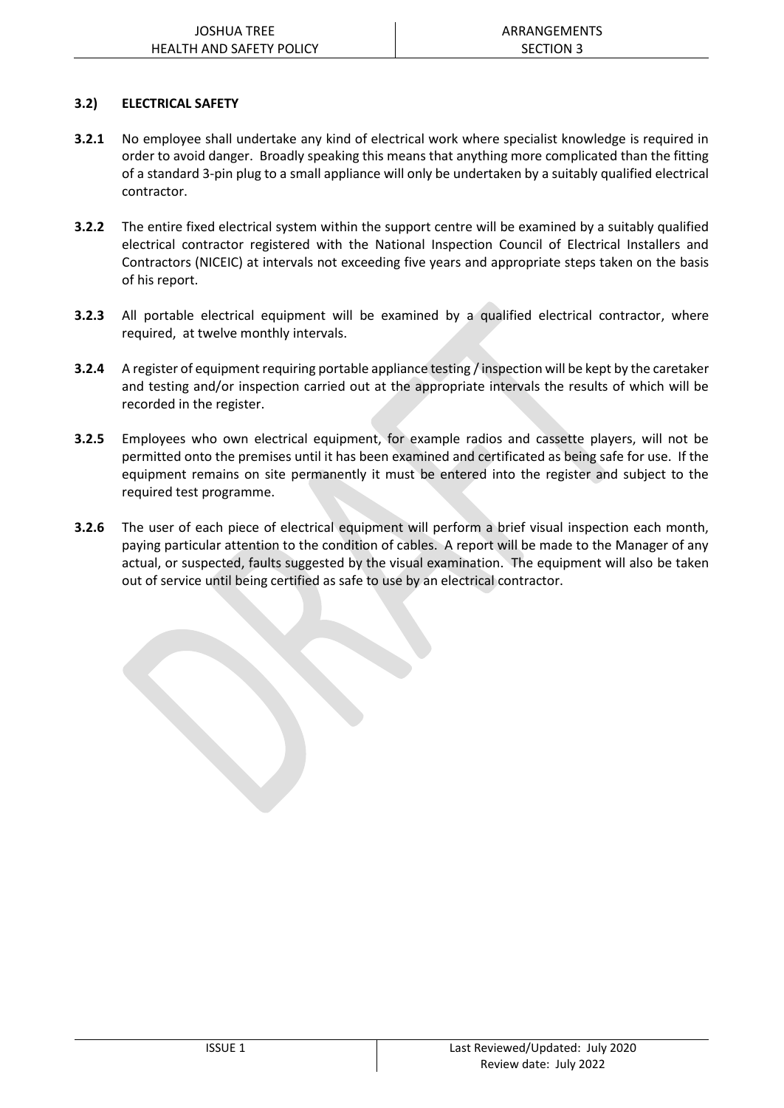#### **3.2) ELECTRICAL SAFETY**

- **3.2.1** No employee shall undertake any kind of electrical work where specialist knowledge is required in order to avoid danger. Broadly speaking this means that anything more complicated than the fitting of a standard 3-pin plug to a small appliance will only be undertaken by a suitably qualified electrical contractor.
- **3.2.2** The entire fixed electrical system within the support centre will be examined by a suitably qualified electrical contractor registered with the National Inspection Council of Electrical Installers and Contractors (NICEIC) at intervals not exceeding five years and appropriate steps taken on the basis of his report.
- **3.2.3** All portable electrical equipment will be examined by a qualified electrical contractor, where required, at twelve monthly intervals.
- **3.2.4** A register of equipment requiring portable appliance testing / inspection will be kept by the caretaker and testing and/or inspection carried out at the appropriate intervals the results of which will be recorded in the register.
- **3.2.5** Employees who own electrical equipment, for example radios and cassette players, will not be permitted onto the premises until it has been examined and certificated as being safe for use. If the equipment remains on site permanently it must be entered into the register and subject to the required test programme.
- **3.2.6** The user of each piece of electrical equipment will perform a brief visual inspection each month, paying particular attention to the condition of cables. A report will be made to the Manager of any actual, or suspected, faults suggested by the visual examination. The equipment will also be taken out of service until being certified as safe to use by an electrical contractor.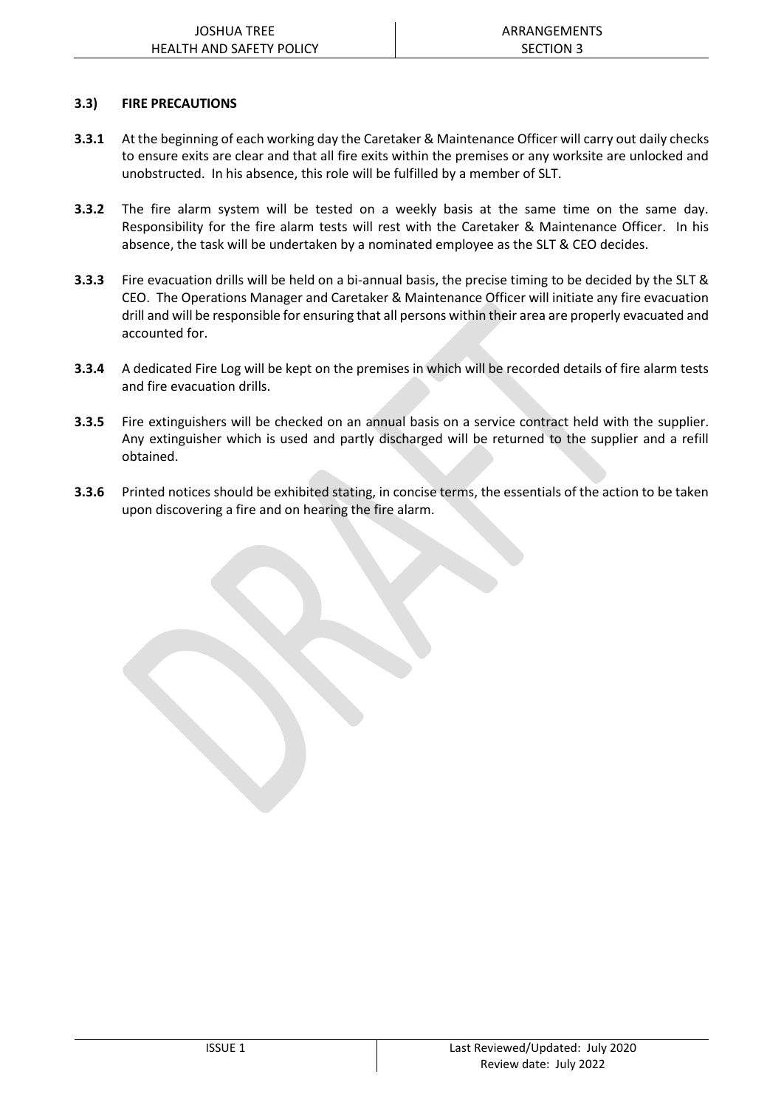#### **3.3) FIRE PRECAUTIONS**

- **3.3.1** At the beginning of each working day the Caretaker & Maintenance Officer will carry out daily checks to ensure exits are clear and that all fire exits within the premises or any worksite are unlocked and unobstructed. In his absence, this role will be fulfilled by a member of SLT.
- **3.3.2** The fire alarm system will be tested on a weekly basis at the same time on the same day. Responsibility for the fire alarm tests will rest with the Caretaker & Maintenance Officer. In his absence, the task will be undertaken by a nominated employee as the SLT & CEO decides.
- **3.3.3** Fire evacuation drills will be held on a bi-annual basis, the precise timing to be decided by the SLT & CEO. The Operations Manager and Caretaker & Maintenance Officer will initiate any fire evacuation drill and will be responsible for ensuring that all persons within their area are properly evacuated and accounted for.
- **3.3.4** A dedicated Fire Log will be kept on the premises in which will be recorded details of fire alarm tests and fire evacuation drills.
- **3.3.5** Fire extinguishers will be checked on an annual basis on a service contract held with the supplier. Any extinguisher which is used and partly discharged will be returned to the supplier and a refill obtained.
- **3.3.6** Printed notices should be exhibited stating, in concise terms, the essentials of the action to be taken upon discovering a fire and on hearing the fire alarm.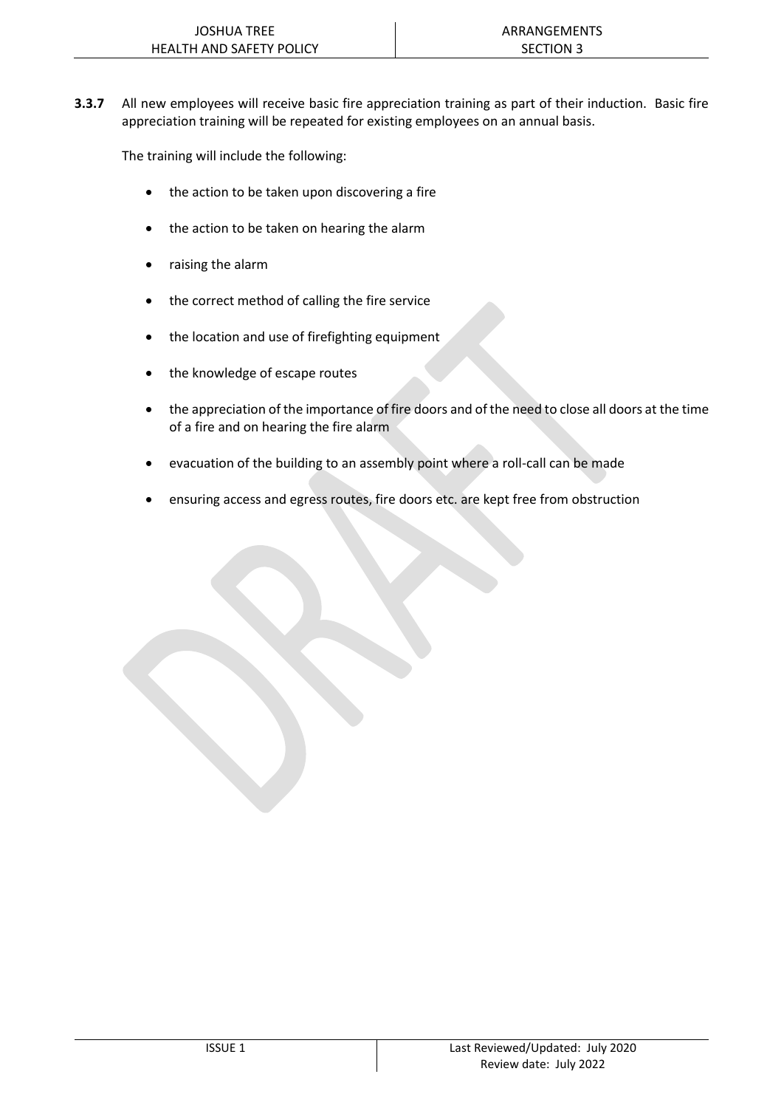**3.3.7** All new employees will receive basic fire appreciation training as part of their induction. Basic fire appreciation training will be repeated for existing employees on an annual basis.

The training will include the following:

- the action to be taken upon discovering a fire
- the action to be taken on hearing the alarm
- raising the alarm
- the correct method of calling the fire service
- the location and use of firefighting equipment
- the knowledge of escape routes
- the appreciation of the importance of fire doors and of the need to close all doors at the time of a fire and on hearing the fire alarm
- evacuation of the building to an assembly point where a roll-call can be made
- ensuring access and egress routes, fire doors etc. are kept free from obstruction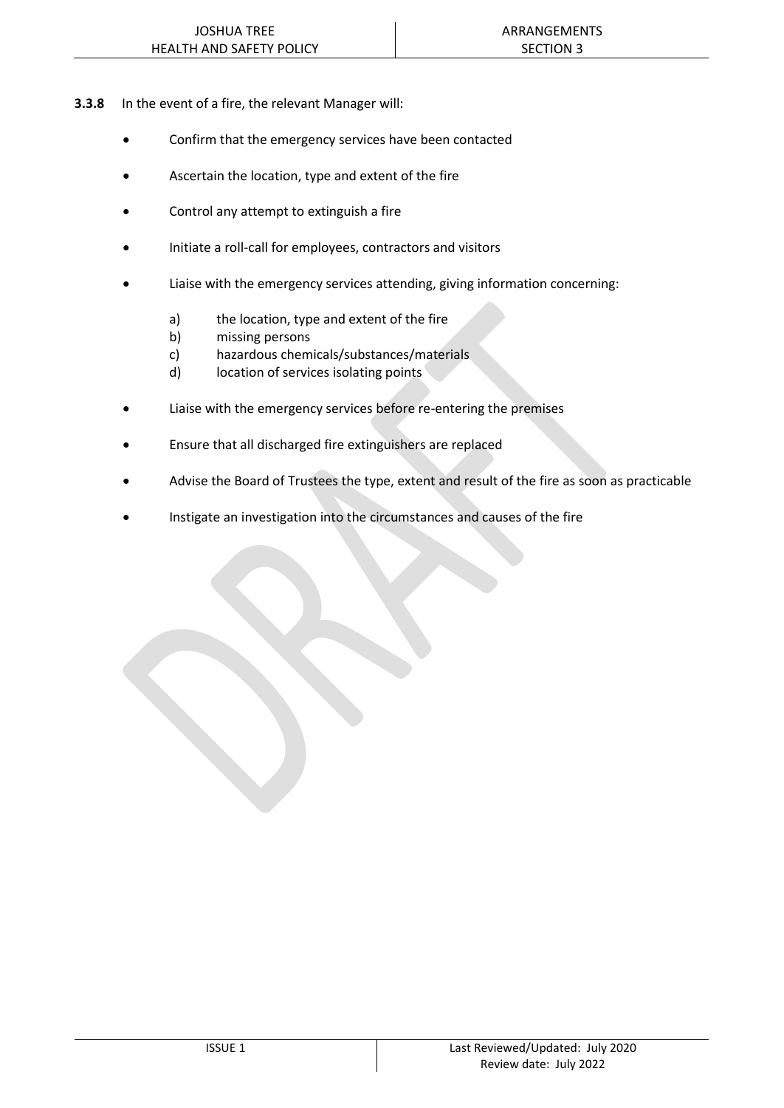- **3.3.8** In the event of a fire, the relevant Manager will:
	- Confirm that the emergency services have been contacted
	- Ascertain the location, type and extent of the fire
	- Control any attempt to extinguish a fire
	- Initiate a roll-call for employees, contractors and visitors
	- Liaise with the emergency services attending, giving information concerning:
		- a) the location, type and extent of the fire
		- b) missing persons
		- c) hazardous chemicals/substances/materials
		- d) location of services isolating points
	- Liaise with the emergency services before re-entering the premises
	- Ensure that all discharged fire extinguishers are replaced
	- Advise the Board of Trustees the type, extent and result of the fire as soon as practicable
	- Instigate an investigation into the circumstances and causes of the fire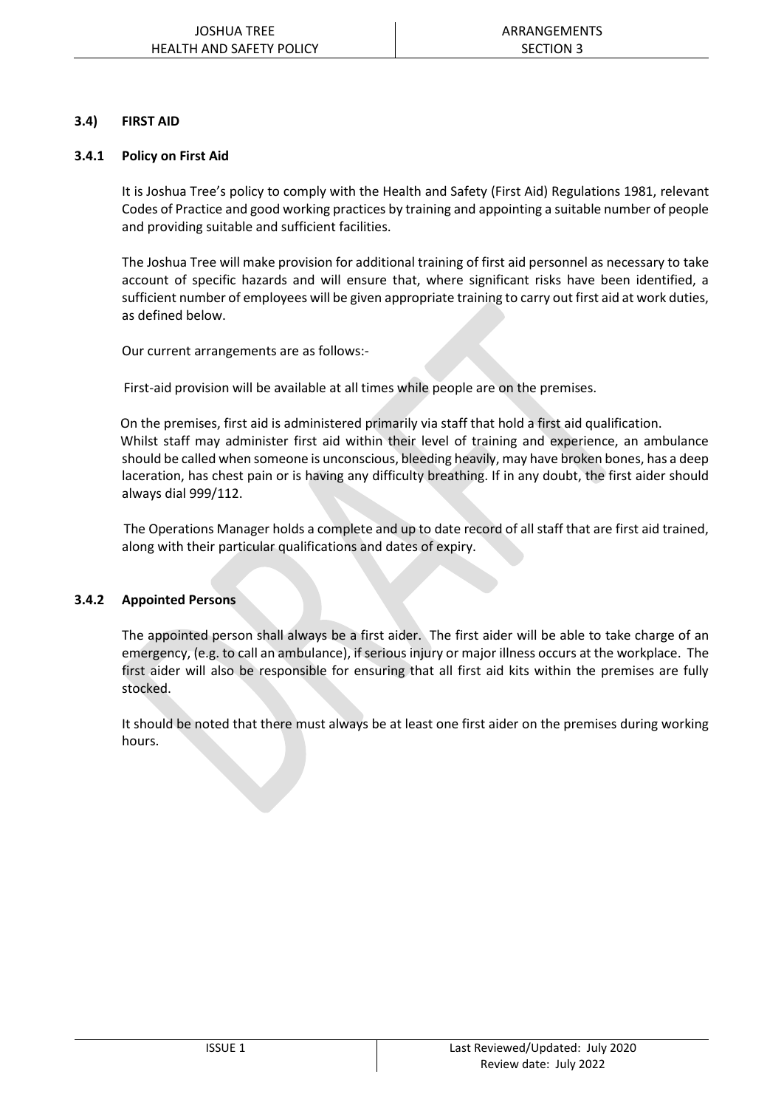#### **3.4) FIRST AID**

#### **3.4.1 Policy on First Aid**

It is Joshua Tree's policy to comply with the Health and Safety (First Aid) Regulations 1981, relevant Codes of Practice and good working practices by training and appointing a suitable number of people and providing suitable and sufficient facilities.

The Joshua Tree will make provision for additional training of first aid personnel as necessary to take account of specific hazards and will ensure that, where significant risks have been identified, a sufficient number of employees will be given appropriate training to carry out first aid at work duties, as defined below.

Our current arrangements are as follows:-

First-aid provision will be available at all times while people are on the premises.

 On the premises, first aid is administered primarily via staff that hold a first aid qualification. Whilst staff may administer first aid within their level of training and experience, an ambulance should be called when someone is unconscious, bleeding heavily, may have broken bones, has a deep laceration, has chest pain or is having any difficulty breathing. If in any doubt, the first aider should always dial 999/112.

 The Operations Manager holds a complete and up to date record of all staff that are first aid trained, along with their particular qualifications and dates of expiry.

#### **3.4.2 Appointed Persons**

The appointed person shall always be a first aider. The first aider will be able to take charge of an emergency, (e.g. to call an ambulance), if serious injury or major illness occurs at the workplace. The first aider will also be responsible for ensuring that all first aid kits within the premises are fully stocked.

It should be noted that there must always be at least one first aider on the premises during working hours.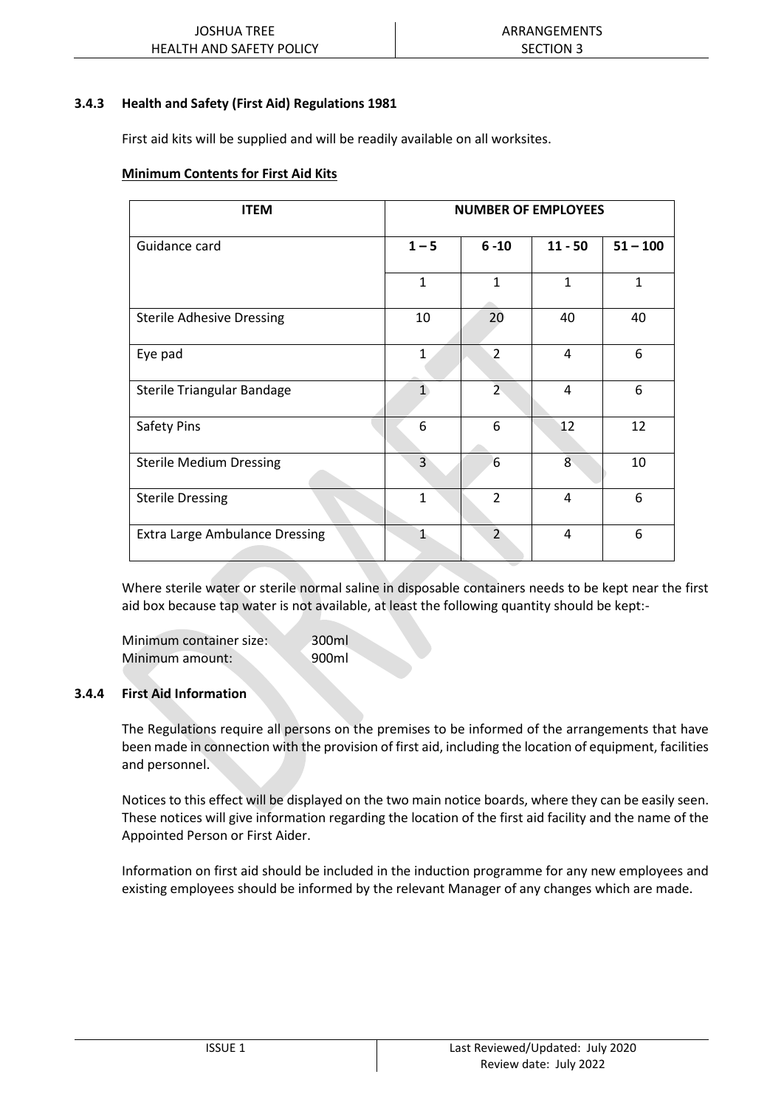#### **3.4.3 Health and Safety (First Aid) Regulations 1981**

First aid kits will be supplied and will be readily available on all worksites.

#### **Minimum Contents for First Aid Kits**

| <b>ITEM</b>                           | <b>NUMBER OF EMPLOYEES</b> |                |              |              |
|---------------------------------------|----------------------------|----------------|--------------|--------------|
| Guidance card                         | $1 - 5$                    | $6 - 10$       | $11 - 50$    | $51 - 100$   |
|                                       | $\mathbf{1}$               | $\mathbf{1}$   | $\mathbf{1}$ | $\mathbf{1}$ |
| <b>Sterile Adhesive Dressing</b>      | 10                         | 20             | 40           | 40           |
| Eye pad                               | 1                          | $\overline{2}$ | 4            | 6            |
| Sterile Triangular Bandage            | $\overline{1}$             | $\overline{2}$ | 4            | 6            |
| Safety Pins                           | 6                          | 6              | 12           | 12           |
| <b>Sterile Medium Dressing</b>        | 3                          | 6              | 8            | 10           |
| <b>Sterile Dressing</b>               | $\mathbf{1}$               | $\overline{2}$ | 4            | 6            |
| <b>Extra Large Ambulance Dressing</b> | $\mathbf{1}$               | $\overline{2}$ | 4            | 6            |

Where sterile water or sterile normal saline in disposable containers needs to be kept near the first aid box because tap water is not available, at least the following quantity should be kept:-

Minimum container size: 300ml Minimum amount: 900ml

#### **3.4.4 First Aid Information**

The Regulations require all persons on the premises to be informed of the arrangements that have been made in connection with the provision of first aid, including the location of equipment, facilities and personnel.

Notices to this effect will be displayed on the two main notice boards, where they can be easily seen. These notices will give information regarding the location of the first aid facility and the name of the Appointed Person or First Aider.

Information on first aid should be included in the induction programme for any new employees and existing employees should be informed by the relevant Manager of any changes which are made.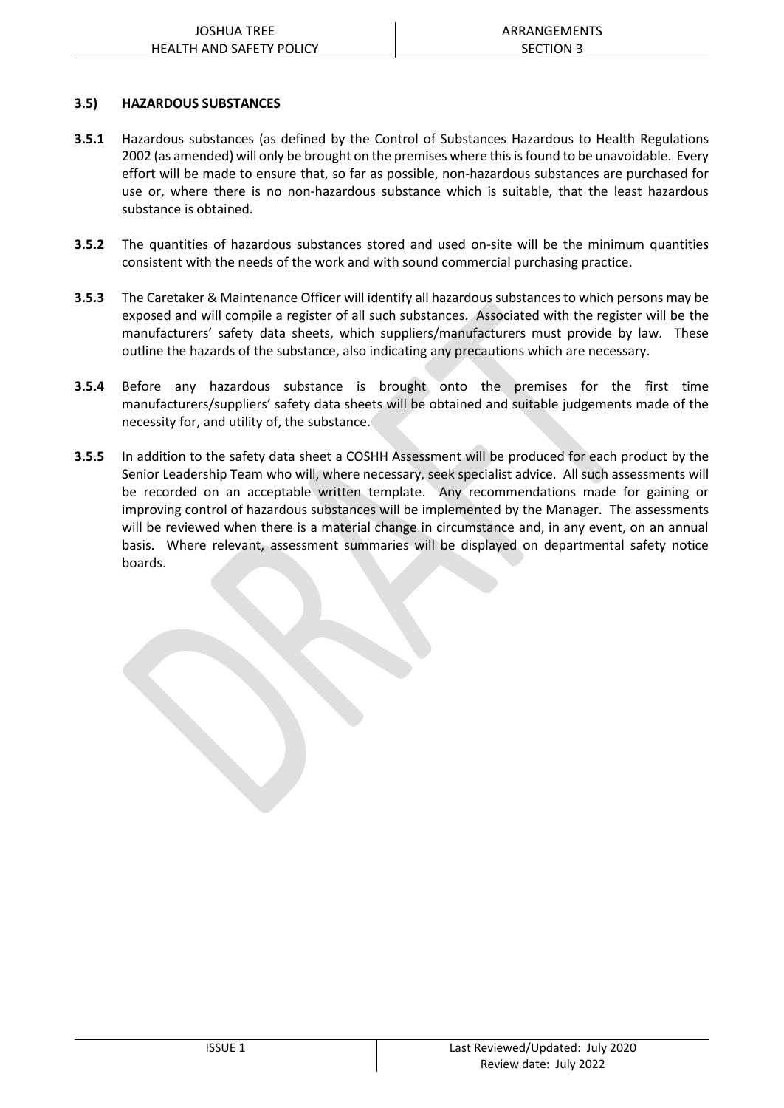#### **3.5) HAZARDOUS SUBSTANCES**

- **3.5.1** Hazardous substances (as defined by the Control of Substances Hazardous to Health Regulations 2002 (as amended) will only be brought on the premises where this is found to be unavoidable. Every effort will be made to ensure that, so far as possible, non-hazardous substances are purchased for use or, where there is no non-hazardous substance which is suitable, that the least hazardous substance is obtained.
- **3.5.2** The quantities of hazardous substances stored and used on-site will be the minimum quantities consistent with the needs of the work and with sound commercial purchasing practice.
- **3.5.3** The Caretaker & Maintenance Officer will identify all hazardous substances to which persons may be exposed and will compile a register of all such substances. Associated with the register will be the manufacturers' safety data sheets, which suppliers/manufacturers must provide by law. These outline the hazards of the substance, also indicating any precautions which are necessary.
- **3.5.4** Before any hazardous substance is brought onto the premises for the first time manufacturers/suppliers' safety data sheets will be obtained and suitable judgements made of the necessity for, and utility of, the substance.
- **3.5.5** In addition to the safety data sheet a COSHH Assessment will be produced for each product by the Senior Leadership Team who will, where necessary, seek specialist advice. All such assessments will be recorded on an acceptable written template. Any recommendations made for gaining or improving control of hazardous substances will be implemented by the Manager. The assessments will be reviewed when there is a material change in circumstance and, in any event, on an annual basis. Where relevant, assessment summaries will be displayed on departmental safety notice boards.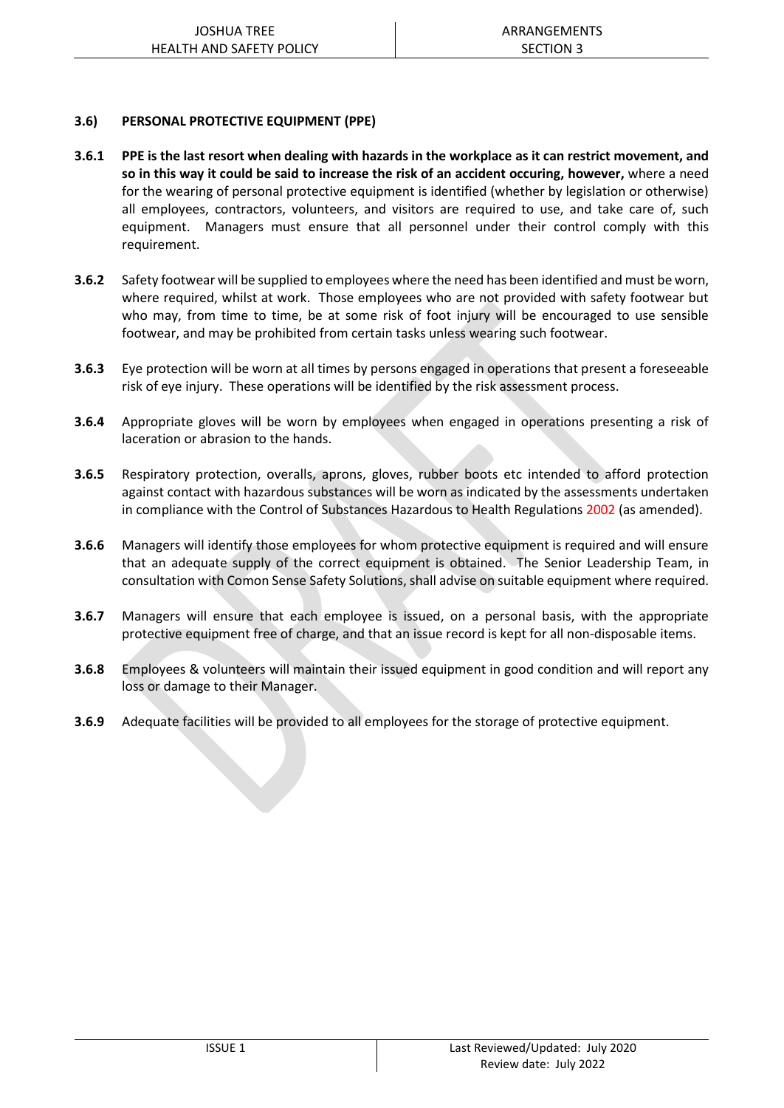#### **3.6) PERSONAL PROTECTIVE EQUIPMENT (PPE)**

- **3.6.1 PPE is the last resort when dealing with hazards in the workplace as it can restrict movement, and so in this way it could be said to increase the risk of an accident occuring, however,** where a need for the wearing of personal protective equipment is identified (whether by legislation or otherwise) all employees, contractors, volunteers, and visitors are required to use, and take care of, such equipment. Managers must ensure that all personnel under their control comply with this requirement.
- **3.6.2** Safety footwear will be supplied to employees where the need has been identified and must be worn, where required, whilst at work. Those employees who are not provided with safety footwear but who may, from time to time, be at some risk of foot injury will be encouraged to use sensible footwear, and may be prohibited from certain tasks unless wearing such footwear.
- **3.6.3** Eye protection will be worn at all times by persons engaged in operations that present a foreseeable risk of eye injury. These operations will be identified by the risk assessment process.
- **3.6.4** Appropriate gloves will be worn by employees when engaged in operations presenting a risk of laceration or abrasion to the hands.
- **3.6.5** Respiratory protection, overalls, aprons, gloves, rubber boots etc intended to afford protection against contact with hazardous substances will be worn as indicated by the assessments undertaken in compliance with the Control of Substances Hazardous to Health Regulations 2002 (as amended).
- **3.6.6** Managers will identify those employees for whom protective equipment is required and will ensure that an adequate supply of the correct equipment is obtained. The Senior Leadership Team, in consultation with Comon Sense Safety Solutions, shall advise on suitable equipment where required.
- **3.6.7** Managers will ensure that each employee is issued, on a personal basis, with the appropriate protective equipment free of charge, and that an issue record is kept for all non-disposable items.
- **3.6.8** Employees & volunteers will maintain their issued equipment in good condition and will report any loss or damage to their Manager.
- **3.6.9** Adequate facilities will be provided to all employees for the storage of protective equipment.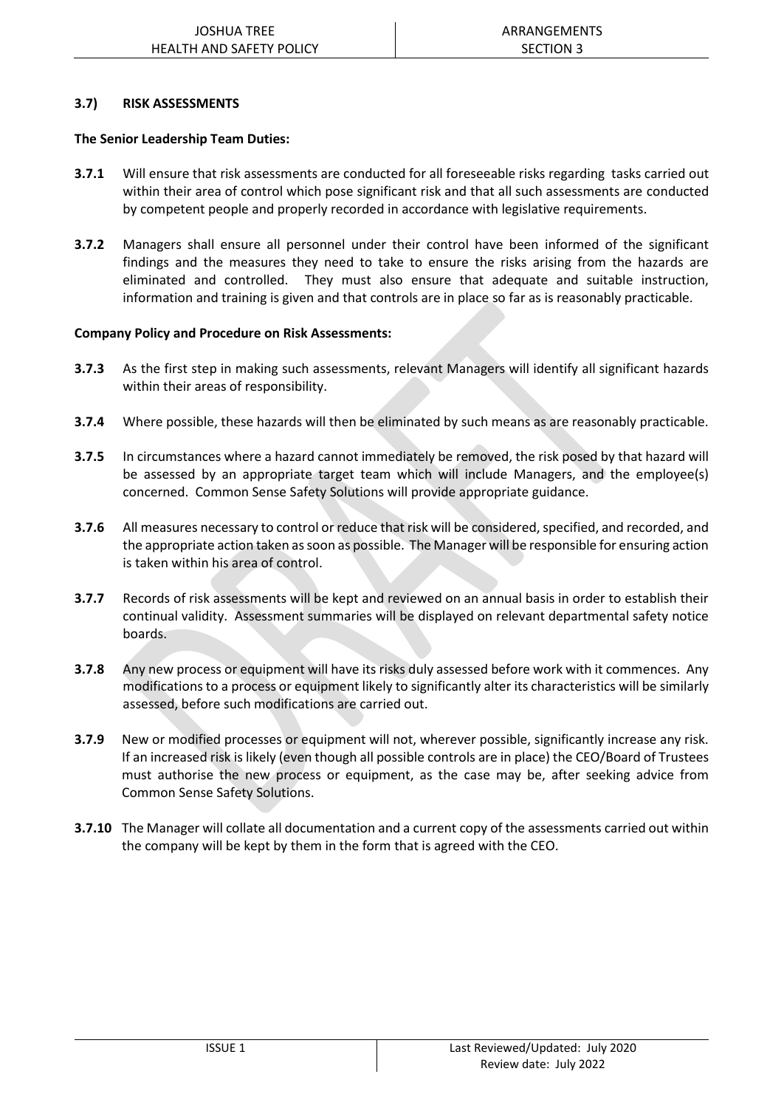#### **3.7) RISK ASSESSMENTS**

#### **The Senior Leadership Team Duties:**

- **3.7.1** Will ensure that risk assessments are conducted for all foreseeable risks regarding tasks carried out within their area of control which pose significant risk and that all such assessments are conducted by competent people and properly recorded in accordance with legislative requirements.
- **3.7.2** Managers shall ensure all personnel under their control have been informed of the significant findings and the measures they need to take to ensure the risks arising from the hazards are eliminated and controlled. They must also ensure that adequate and suitable instruction, information and training is given and that controls are in place so far as is reasonably practicable.

#### **Company Policy and Procedure on Risk Assessments:**

- **3.7.3** As the first step in making such assessments, relevant Managers will identify all significant hazards within their areas of responsibility.
- **3.7.4** Where possible, these hazards will then be eliminated by such means as are reasonably practicable.
- **3.7.5** In circumstances where a hazard cannot immediately be removed, the risk posed by that hazard will be assessed by an appropriate target team which will include Managers, and the employee(s) concerned. Common Sense Safety Solutions will provide appropriate guidance.
- **3.7.6** All measures necessary to control or reduce that risk will be considered, specified, and recorded, and the appropriate action taken as soon as possible. The Manager will be responsible for ensuring action is taken within his area of control.
- **3.7.7** Records of risk assessments will be kept and reviewed on an annual basis in order to establish their continual validity. Assessment summaries will be displayed on relevant departmental safety notice boards.
- **3.7.8** Any new process or equipment will have its risks duly assessed before work with it commences. Any modifications to a process or equipment likely to significantly alter its characteristics will be similarly assessed, before such modifications are carried out.
- **3.7.9** New or modified processes or equipment will not, wherever possible, significantly increase any risk. If an increased risk is likely (even though all possible controls are in place) the CEO/Board of Trustees must authorise the new process or equipment, as the case may be, after seeking advice from Common Sense Safety Solutions.
- **3.7.10** The Manager will collate all documentation and a current copy of the assessments carried out within the company will be kept by them in the form that is agreed with the CEO.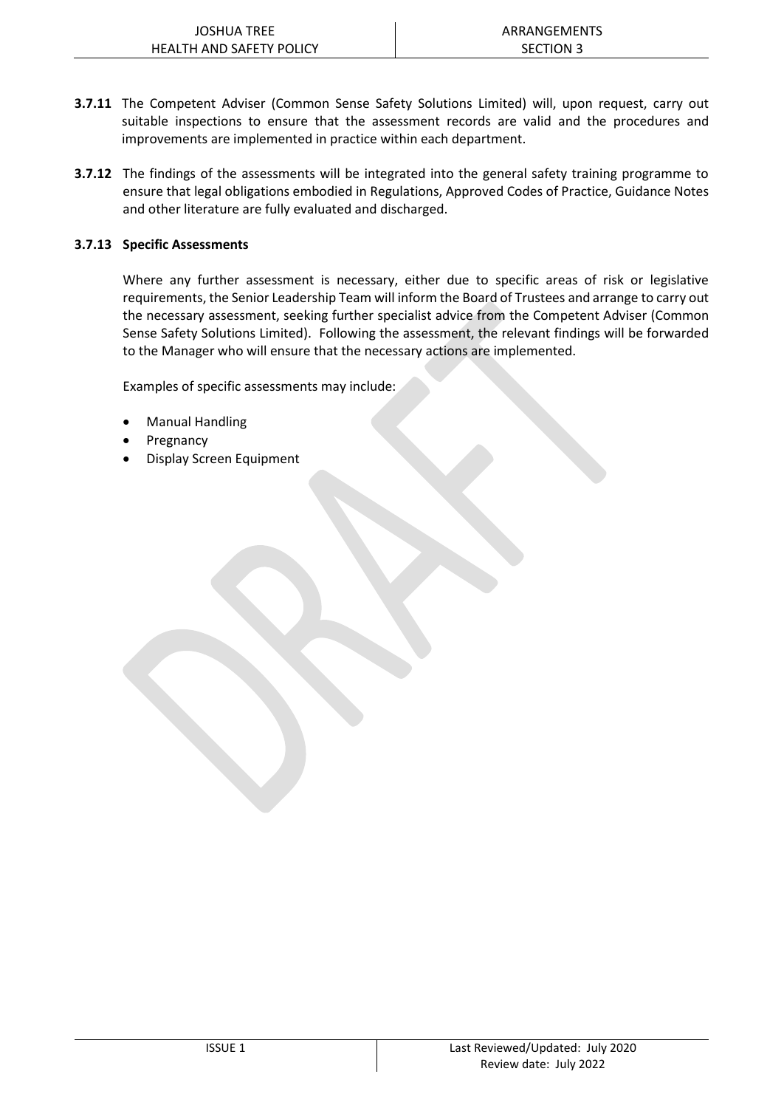- **3.7.11** The Competent Adviser (Common Sense Safety Solutions Limited) will, upon request, carry out suitable inspections to ensure that the assessment records are valid and the procedures and improvements are implemented in practice within each department.
- **3.7.12** The findings of the assessments will be integrated into the general safety training programme to ensure that legal obligations embodied in Regulations, Approved Codes of Practice, Guidance Notes and other literature are fully evaluated and discharged.

#### **3.7.13 Specific Assessments**

Where any further assessment is necessary, either due to specific areas of risk or legislative requirements, the Senior Leadership Team will inform the Board of Trustees and arrange to carry out the necessary assessment, seeking further specialist advice from the Competent Adviser (Common Sense Safety Solutions Limited). Following the assessment, the relevant findings will be forwarded to the Manager who will ensure that the necessary actions are implemented.

Examples of specific assessments may include:

- Manual Handling
- **Pregnancy**
- Display Screen Equipment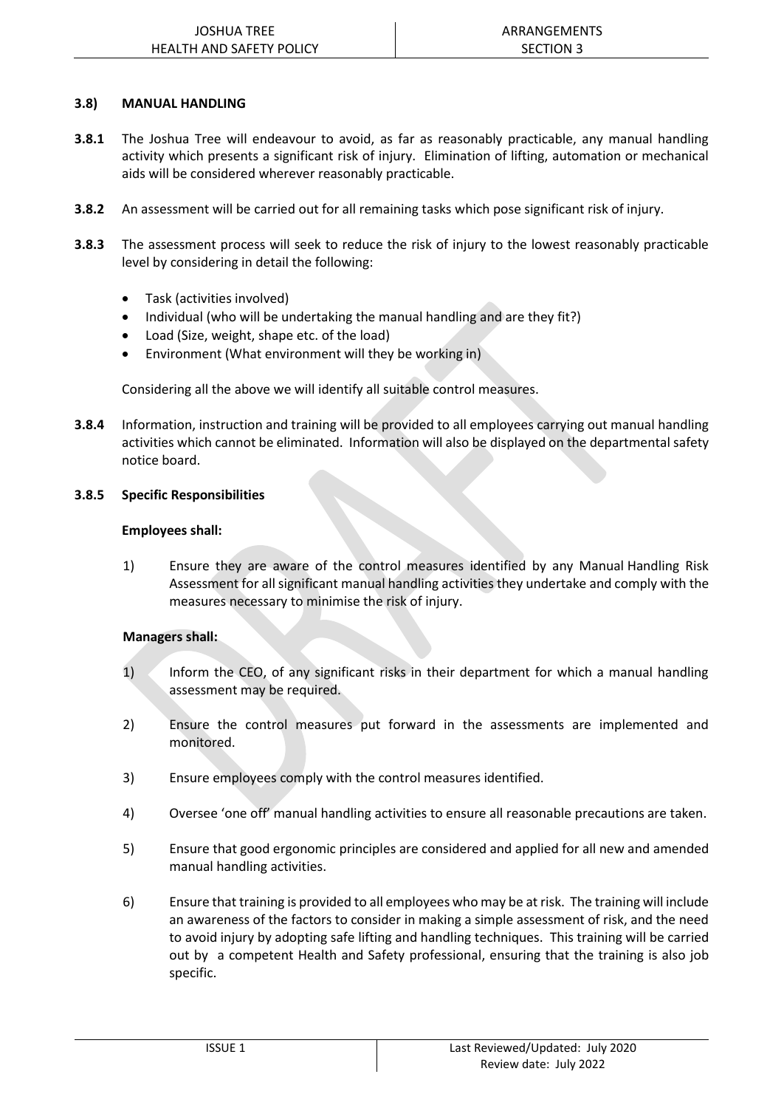#### **3.8) MANUAL HANDLING**

- **3.8.1** The Joshua Tree will endeavour to avoid, as far as reasonably practicable, any manual handling activity which presents a significant risk of injury. Elimination of lifting, automation or mechanical aids will be considered wherever reasonably practicable.
- **3.8.2** An assessment will be carried out for all remaining tasks which pose significant risk of injury.
- **3.8.3** The assessment process will seek to reduce the risk of injury to the lowest reasonably practicable level by considering in detail the following:
	- Task (activities involved)
	- Individual (who will be undertaking the manual handling and are they fit?)
	- Load (Size, weight, shape etc. of the load)
	- Environment (What environment will they be working in)

Considering all the above we will identify all suitable control measures.

**3.8.4** Information, instruction and training will be provided to all employees carrying out manual handling activities which cannot be eliminated. Information will also be displayed on the departmental safety notice board.

#### **3.8.5 Specific Responsibilities**

#### **Employees shall:**

1) Ensure they are aware of the control measures identified by any Manual Handling Risk Assessment for all significant manual handling activities they undertake and comply with the measures necessary to minimise the risk of injury.

#### **Managers shall:**

- 1) Inform the CEO, of any significant risks in their department for which a manual handling assessment may be required.
- 2) Ensure the control measures put forward in the assessments are implemented and monitored.
- 3) Ensure employees comply with the control measures identified.
- 4) Oversee 'one off' manual handling activities to ensure all reasonable precautions are taken.
- 5) Ensure that good ergonomic principles are considered and applied for all new and amended manual handling activities.
- 6) Ensure that training is provided to all employees who may be at risk. The training will include an awareness of the factors to consider in making a simple assessment of risk, and the need to avoid injury by adopting safe lifting and handling techniques. This training will be carried out by a competent Health and Safety professional, ensuring that the training is also job specific.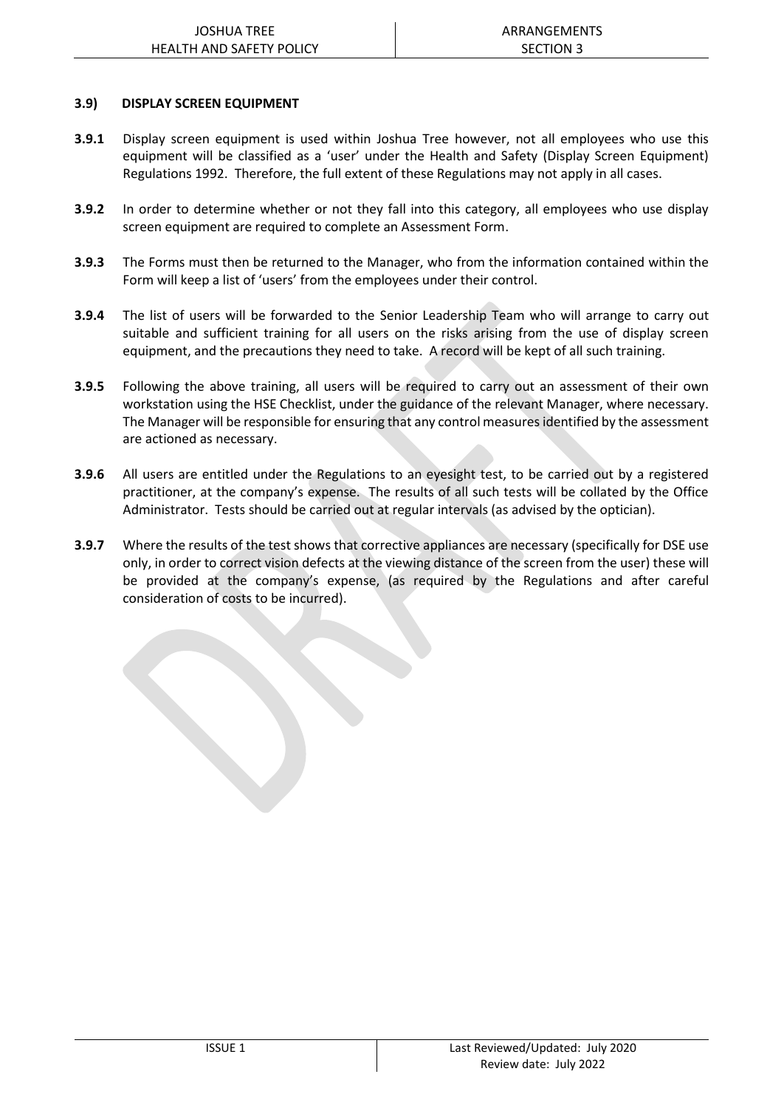#### **3.9) DISPLAY SCREEN EQUIPMENT**

- **3.9.1** Display screen equipment is used within Joshua Tree however, not all employees who use this equipment will be classified as a 'user' under the Health and Safety (Display Screen Equipment) Regulations 1992. Therefore, the full extent of these Regulations may not apply in all cases.
- **3.9.2** In order to determine whether or not they fall into this category, all employees who use display screen equipment are required to complete an Assessment Form.
- **3.9.3** The Forms must then be returned to the Manager, who from the information contained within the Form will keep a list of 'users' from the employees under their control.
- **3.9.4** The list of users will be forwarded to the Senior Leadership Team who will arrange to carry out suitable and sufficient training for all users on the risks arising from the use of display screen equipment, and the precautions they need to take. A record will be kept of all such training.
- **3.9.5** Following the above training, all users will be required to carry out an assessment of their own workstation using the HSE Checklist, under the guidance of the relevant Manager, where necessary. The Manager will be responsible for ensuring that any control measures identified by the assessment are actioned as necessary.
- **3.9.6** All users are entitled under the Regulations to an eyesight test, to be carried out by a registered practitioner, at the company's expense. The results of all such tests will be collated by the Office Administrator. Tests should be carried out at regular intervals (as advised by the optician).
- **3.9.7** Where the results of the test shows that corrective appliances are necessary (specifically for DSE use only, in order to correct vision defects at the viewing distance of the screen from the user) these will be provided at the company's expense, (as required by the Regulations and after careful consideration of costs to be incurred).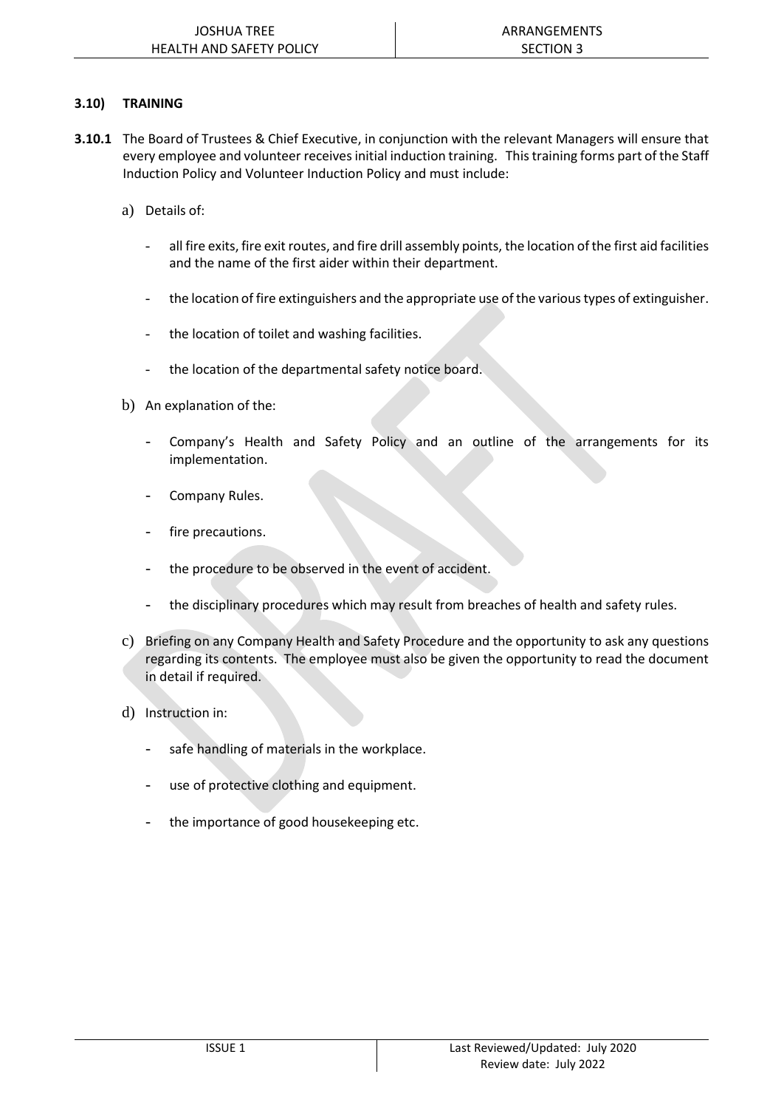#### **3.10) TRAINING**

- **3.10.1** The Board of Trustees & Chief Executive, in conjunction with the relevant Managers will ensure that every employee and volunteer receives initial induction training. Thistraining forms part of the Staff Induction Policy and Volunteer Induction Policy and must include:
	- a) Details of:
		- all fire exits, fire exit routes, and fire drill assembly points, the location of the first aid facilities and the name of the first aider within their department.
		- the location of fire extinguishers and the appropriate use of the various types of extinguisher.
		- the location of toilet and washing facilities.
		- the location of the departmental safety notice board.
	- b) An explanation of the:
		- Company's Health and Safety Policy and an outline of the arrangements for its implementation.
		- Company Rules.
		- fire precautions.
		- the procedure to be observed in the event of accident.
		- the disciplinary procedures which may result from breaches of health and safety rules.
	- c) Briefing on any Company Health and Safety Procedure and the opportunity to ask any questions regarding its contents. The employee must also be given the opportunity to read the document in detail if required.
	- d) Instruction in:
		- safe handling of materials in the workplace.
		- use of protective clothing and equipment.
		- the importance of good housekeeping etc.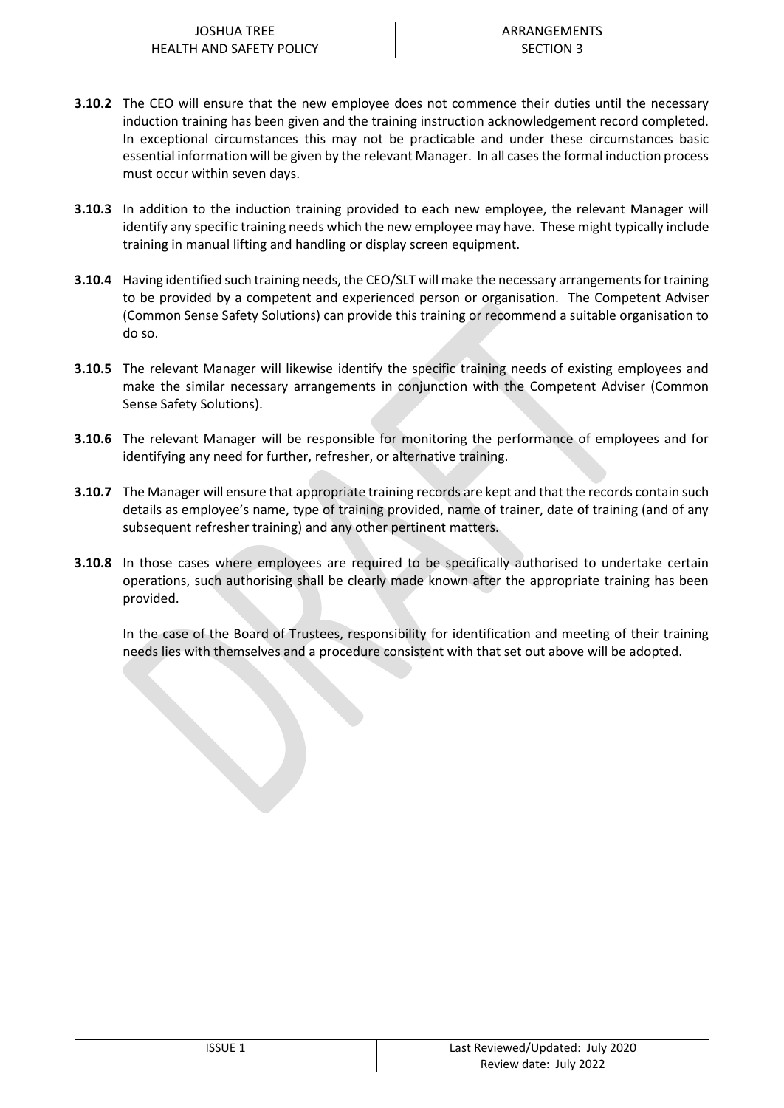- **3.10.2** The CEO will ensure that the new employee does not commence their duties until the necessary induction training has been given and the training instruction acknowledgement record completed. In exceptional circumstances this may not be practicable and under these circumstances basic essential information will be given by the relevant Manager. In all cases the formal induction process must occur within seven days.
- **3.10.3** In addition to the induction training provided to each new employee, the relevant Manager will identify any specific training needs which the new employee may have. These might typically include training in manual lifting and handling or display screen equipment.
- **3.10.4** Having identified such training needs, the CEO/SLT will make the necessary arrangements for training to be provided by a competent and experienced person or organisation. The Competent Adviser (Common Sense Safety Solutions) can provide this training or recommend a suitable organisation to do so.
- **3.10.5** The relevant Manager will likewise identify the specific training needs of existing employees and make the similar necessary arrangements in conjunction with the Competent Adviser (Common Sense Safety Solutions).
- **3.10.6** The relevant Manager will be responsible for monitoring the performance of employees and for identifying any need for further, refresher, or alternative training.
- **3.10.7** The Manager will ensure that appropriate training records are kept and that the records contain such details as employee's name, type of training provided, name of trainer, date of training (and of any subsequent refresher training) and any other pertinent matters.
- **3.10.8** In those cases where employees are required to be specifically authorised to undertake certain operations, such authorising shall be clearly made known after the appropriate training has been provided.

In the case of the Board of Trustees, responsibility for identification and meeting of their training needs lies with themselves and a procedure consistent with that set out above will be adopted.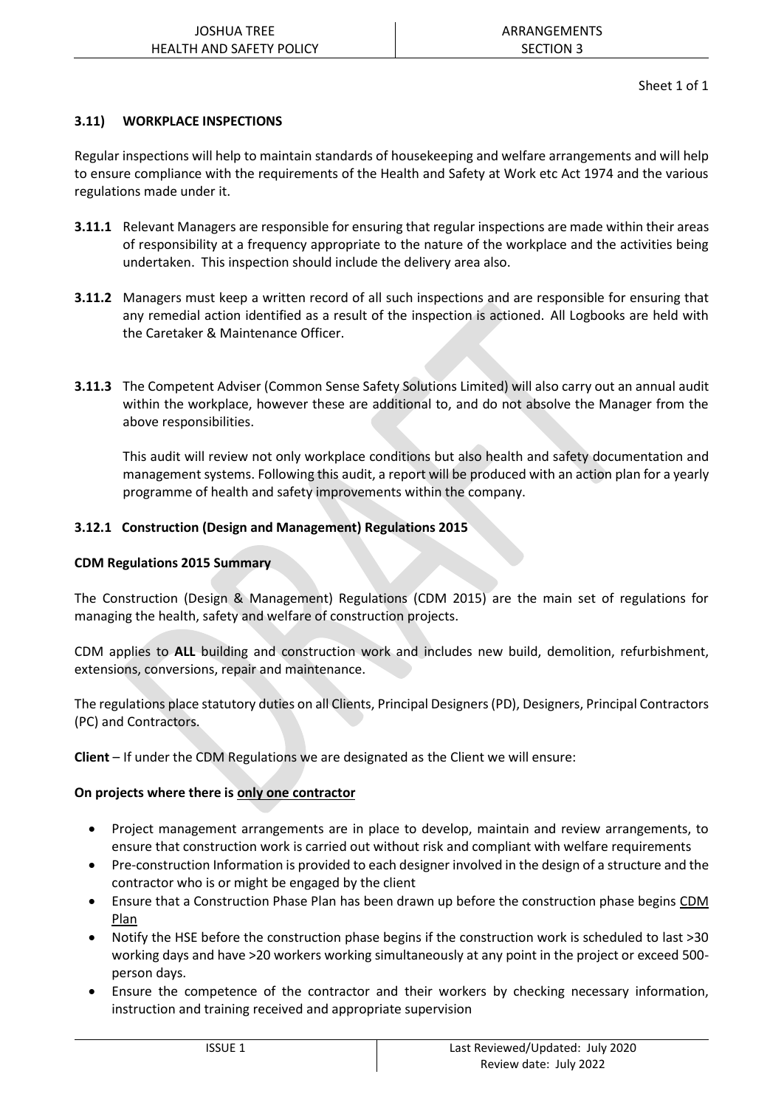#### **3.11) WORKPLACE INSPECTIONS**

Regular inspections will help to maintain standards of housekeeping and welfare arrangements and will help to ensure compliance with the requirements of the Health and Safety at Work etc Act 1974 and the various regulations made under it.

- **3.11.1** Relevant Managers are responsible for ensuring that regular inspections are made within their areas of responsibility at a frequency appropriate to the nature of the workplace and the activities being undertaken. This inspection should include the delivery area also.
- **3.11.2** Managers must keep a written record of all such inspections and are responsible for ensuring that any remedial action identified as a result of the inspection is actioned. All Logbooks are held with the Caretaker & Maintenance Officer.
- **3.11.3** The Competent Adviser (Common Sense Safety Solutions Limited) will also carry out an annual audit within the workplace, however these are additional to, and do not absolve the Manager from the above responsibilities.

This audit will review not only workplace conditions but also health and safety documentation and management systems. Following this audit, a report will be produced with an action plan for a yearly programme of health and safety improvements within the company.

#### **3.12.1 Construction (Design and Management) Regulations 2015**

#### **CDM Regulations 2015 Summary**

The Construction (Design & Management) Regulations (CDM 2015) are the main set of regulations for managing the health, safety and welfare of construction projects.

CDM applies to **ALL** building and construction work and includes new build, demolition, refurbishment, extensions, conversions, repair and maintenance.

The regulations place statutory duties on all Clients, Principal Designers (PD), Designers, Principal Contractors (PC) and Contractors.

**Client** – If under the CDM Regulations we are designated as the Client we will ensure:

#### **On projects where there is only one contractor**

- Project management arrangements are in place to develop, maintain and review arrangements, to ensure that construction work is carried out without risk and compliant with welfare requirements
- Pre-construction Information is provided to each designer involved in the design of a structure and the contractor who is or might be engaged by the client
- Ensure that a Construction Phase Plan has been drawn up before the construction phase begins [CDM](https://www.hse.gov.uk/pubns/cis80.pdf)  [Plan](https://www.hse.gov.uk/pubns/cis80.pdf)
- Notify the HSE before the construction phase begins if the construction work is scheduled to last >30 working days and have >20 workers working simultaneously at any point in the project or exceed 500 person days.
- Ensure the competence of the contractor and their workers by checking necessary information, instruction and training received and appropriate supervision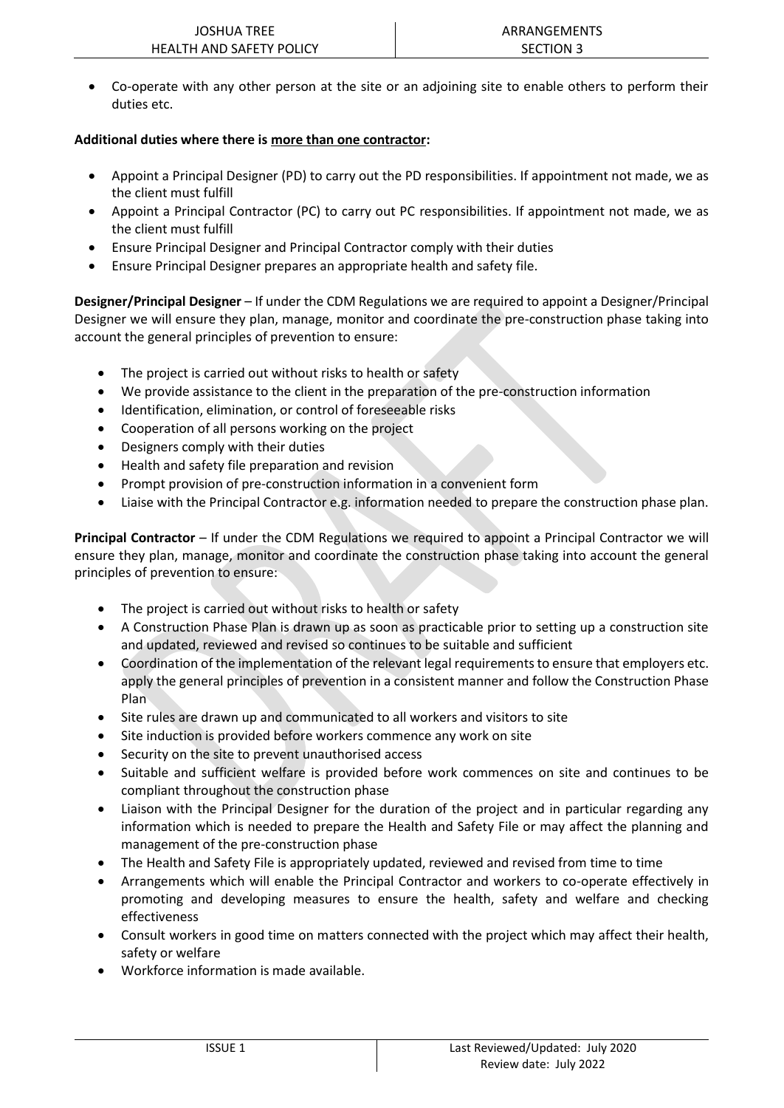• Co-operate with any other person at the site or an adjoining site to enable others to perform their duties etc.

#### **Additional duties where there is more than one contractor:**

- Appoint a Principal Designer (PD) to carry out the PD responsibilities. If appointment not made, we as the client must fulfill
- Appoint a Principal Contractor (PC) to carry out PC responsibilities. If appointment not made, we as the client must fulfill
- Ensure Principal Designer and Principal Contractor comply with their duties
- Ensure Principal Designer prepares an appropriate health and safety file.

**Designer/Principal Designer** – If under the CDM Regulations we are required to appoint a Designer/Principal Designer we will ensure they plan, manage, monitor and coordinate the pre-construction phase taking into account the general principles of prevention to ensure:

- The project is carried out without risks to health or safety
- We provide assistance to the client in the preparation of the pre-construction information
- Identification, elimination, or control of foreseeable risks
- Cooperation of all persons working on the project
- Designers comply with their duties
- Health and safety file preparation and revision
- Prompt provision of pre-construction information in a convenient form
- Liaise with the Principal Contractor e.g. information needed to prepare the construction phase plan.

**Principal Contractor** – If under the CDM Regulations we required to appoint a Principal Contractor we will ensure they plan, manage, monitor and coordinate the construction phase taking into account the general principles of prevention to ensure:

- The project is carried out without risks to health or safety
- A Construction Phase Plan is drawn up as soon as practicable prior to setting up a construction site and updated, reviewed and revised so continues to be suitable and sufficient
- Coordination of the implementation of the relevant legal requirements to ensure that employers etc. apply the general principles of prevention in a consistent manner and follow the Construction Phase Plan
- Site rules are drawn up and communicated to all workers and visitors to site
- Site induction is provided before workers commence any work on site
- Security on the site to prevent unauthorised access
- Suitable and sufficient welfare is provided before work commences on site and continues to be compliant throughout the construction phase
- Liaison with the Principal Designer for the duration of the project and in particular regarding any information which is needed to prepare the Health and Safety File or may affect the planning and management of the pre-construction phase
- The Health and Safety File is appropriately updated, reviewed and revised from time to time
- Arrangements which will enable the Principal Contractor and workers to co-operate effectively in promoting and developing measures to ensure the health, safety and welfare and checking effectiveness
- Consult workers in good time on matters connected with the project which may affect their health, safety or welfare
- Workforce information is made available.